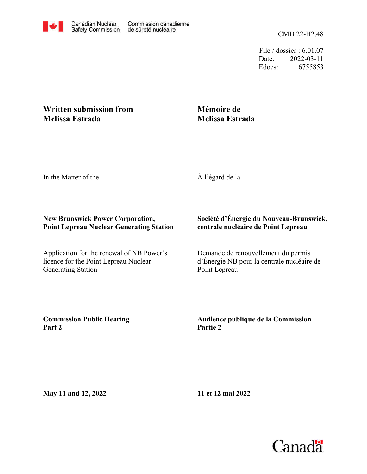CMD 22-H2.48

File / dossier : 6.01.07 Date: 2022-03-11 Edocs: 6755853

## **Written submission from Melissa Estrada**

## **Mémoire de Melissa Estrada**

In the Matter of the

À l'égard de la

## **New Brunswick Power Corporation, Point Lepreau Nuclear Generating Station**

Application for the renewal of NB Power's licence for the Point Lepreau Nuclear Generating Station

## **Société d'Énergie du Nouveau-Brunswick, centrale nucléaire de Point Lepreau**

Demande de renouvellement du permis d'Énergie NB pour la centrale nucléaire de Point Lepreau

**Commission Public Hearing Part 2**

**Audience publique de la Commission Partie 2**

**May 11 and 12, 2022**

**11 et 12 mai 2022**